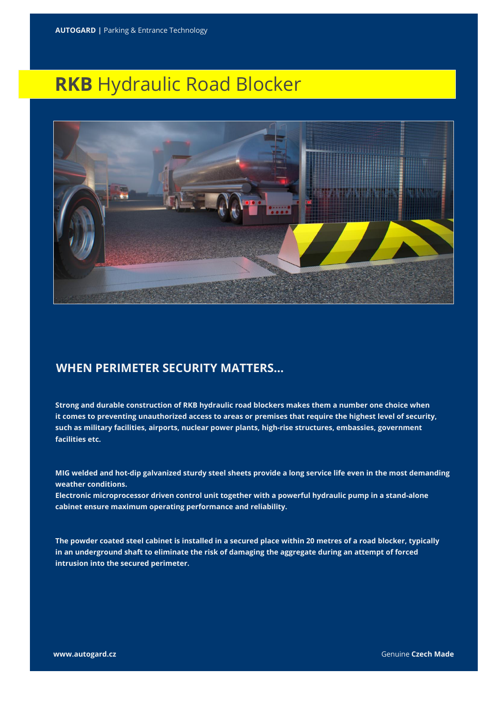## **RKB** Hydraulic Road Blocker



## **WHEN PERIMETER SECURITY MATTERS…**

**Strong and durable construction of RKB hydraulic road blockers makes them a number one choice when it comes to preventing unauthorized access to areas or premises that require the highest level of security, such as military facilities, airports, nuclear power plants, high-rise structures, embassies, government facilities etc.**

**MIG welded and hot-dip galvanized sturdy steel sheets provide a long service life even in the most demanding weather conditions.** 

**Electronic microprocessor driven control unit together with a powerful hydraulic pump in a stand-alone cabinet ensure maximum operating performance and reliability.**

**The powder coated steel cabinet is installed in a secured place within 20 metres of a road blocker, typically in an underground shaft to eliminate the risk of damaging the aggregate during an attempt of forced intrusion into the secured perimeter.**